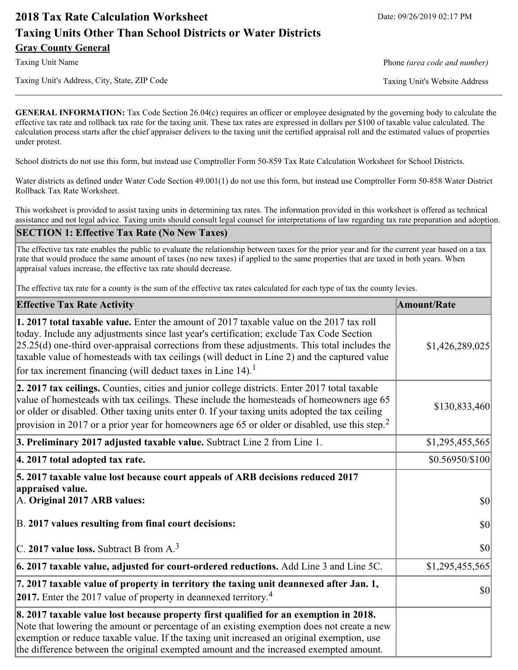# **2018 Tax Rate Calculation Worksheet** Date: 09/26/2019 02:17 PM **Taxing Units Other Than School Districts or Water Districts Gray County General**

Taxing Unit's Address, City, State, ZIP Code Taxing Unit's Website Address

Taxing Unit Name **Phone** *(area code and number)* Phone *(area code and number)* 

**GENERAL INFORMATION:** Tax Code Section 26.04(c) requires an officer or employee designated by the governing body to calculate the effective tax rate and rollback tax rate for the taxing unit. These tax rates are expressed in dollars per \$100 of taxable value calculated. The calculation process starts after the chief appraiser delivers to the taxing unit the certified appraisal roll and the estimated values of properties under protest.

School districts do not use this form, but instead use Comptroller Form 50-859 Tax Rate Calculation Worksheet for School Districts.

Water districts as defined under Water Code Section 49.001(1) do not use this form, but instead use Comptroller Form 50-858 Water District Rollback Tax Rate Worksheet.

This worksheet is provided to assist taxing units in determining tax rates. The information provided in this worksheet is offered as technical assistance and not legal advice. Taxing units should consult legal counsel for interpretations of law regarding tax rate preparation and adoption.

### **SECTION 1: Effective Tax Rate (No New Taxes)**

The effective tax rate enables the public to evaluate the relationship between taxes for the prior year and for the current year based on a tax rate that would produce the same amount of taxes (no new taxes) if applied to the same properties that are taxed in both years. When appraisal values increase, the effective tax rate should decrease.

The effective tax rate for a county is the sum of the effective tax rates calculated for each type of tax the county levies.

| <b>Effective Tax Rate Activity</b>                                                                                                                                                                                                                                                                                                                                                                                                                                   | <b>Amount/Rate</b> |
|----------------------------------------------------------------------------------------------------------------------------------------------------------------------------------------------------------------------------------------------------------------------------------------------------------------------------------------------------------------------------------------------------------------------------------------------------------------------|--------------------|
| 1. 2017 total taxable value. Enter the amount of 2017 taxable value on the 2017 tax roll<br>today. Include any adjustments since last year's certification; exclude Tax Code Section<br>$[25.25(d)$ one-third over-appraisal corrections from these adjustments. This total includes the<br>taxable value of homesteads with tax ceilings (will deduct in Line 2) and the captured value<br>for tax increment financing (will deduct taxes in Line 14). <sup>1</sup> | \$1,426,289,025    |
| 2. 2017 tax ceilings. Counties, cities and junior college districts. Enter 2017 total taxable<br>value of homesteads with tax ceilings. These include the homesteads of homeowners age 65<br>or older or disabled. Other taxing units enter 0. If your taxing units adopted the tax ceiling<br>provision in 2017 or a prior year for homeowners age 65 or older or disabled, use this step. <sup>2</sup>                                                             | \$130,833,460      |
| 3. Preliminary 2017 adjusted taxable value. Subtract Line 2 from Line 1.                                                                                                                                                                                                                                                                                                                                                                                             | \$1,295,455,565    |
| 4. 2017 total adopted tax rate.                                                                                                                                                                                                                                                                                                                                                                                                                                      | \$0.56950/\$100    |
| 5. 2017 taxable value lost because court appeals of ARB decisions reduced 2017<br>appraised value.<br>A. Original 2017 ARB values:                                                                                                                                                                                                                                                                                                                                   | <b>\$0</b>         |
| B. 2017 values resulting from final court decisions:                                                                                                                                                                                                                                                                                                                                                                                                                 | <b>\$0</b>         |
| $\vert$ C. 2017 value loss. Subtract B from A. <sup>3</sup>                                                                                                                                                                                                                                                                                                                                                                                                          | \$0                |
| 6. 2017 taxable value, adjusted for court-ordered reductions. Add Line 3 and Line 5C.                                                                                                                                                                                                                                                                                                                                                                                | \$1,295,455,565    |
| 7. 2017 taxable value of property in territory the taxing unit deannexed after Jan. 1,<br>2017. Enter the 2017 value of property in deannexed territory. <sup>4</sup>                                                                                                                                                                                                                                                                                                | $ 10\rangle$       |
| 8. 2017 taxable value lost because property first qualified for an exemption in 2018.<br>Note that lowering the amount or percentage of an existing exemption does not create a new<br>exemption or reduce taxable value. If the taxing unit increased an original exemption, use<br>the difference between the original exempted amount and the increased exempted amount.                                                                                          |                    |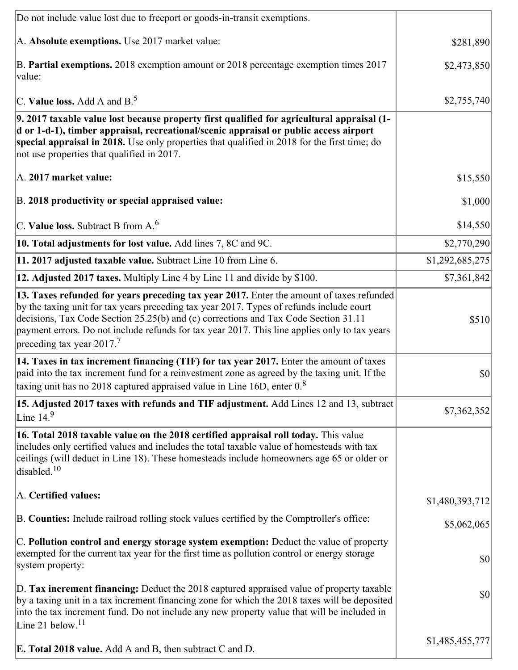| Do not include value lost due to freeport or goods-in-transit exemptions.                                                                                                                                                                                                                                                                                                                                             |                 |
|-----------------------------------------------------------------------------------------------------------------------------------------------------------------------------------------------------------------------------------------------------------------------------------------------------------------------------------------------------------------------------------------------------------------------|-----------------|
| A. Absolute exemptions. Use 2017 market value:                                                                                                                                                                                                                                                                                                                                                                        | \$281,890       |
| B. Partial exemptions. 2018 exemption amount or 2018 percentage exemption times 2017<br>value:                                                                                                                                                                                                                                                                                                                        | \$2,473,850     |
| C. Value loss. Add A and $B^5$ .                                                                                                                                                                                                                                                                                                                                                                                      | \$2,755,740     |
| 9. 2017 taxable value lost because property first qualified for agricultural appraisal (1-<br>d or 1-d-1), timber appraisal, recreational/scenic appraisal or public access airport<br>special appraisal in 2018. Use only properties that qualified in 2018 for the first time; do<br>not use properties that qualified in 2017.                                                                                     |                 |
| A. 2017 market value:                                                                                                                                                                                                                                                                                                                                                                                                 | \$15,550        |
| B. 2018 productivity or special appraised value:                                                                                                                                                                                                                                                                                                                                                                      | \$1,000         |
| C. Value loss. Subtract B from $A6$                                                                                                                                                                                                                                                                                                                                                                                   | \$14,550        |
| 10. Total adjustments for lost value. Add lines 7, 8C and 9C.                                                                                                                                                                                                                                                                                                                                                         | \$2,770,290     |
| 11. 2017 adjusted taxable value. Subtract Line 10 from Line 6.                                                                                                                                                                                                                                                                                                                                                        | \$1,292,685,275 |
| 12. Adjusted 2017 taxes. Multiply Line 4 by Line 11 and divide by \$100.                                                                                                                                                                                                                                                                                                                                              | \$7,361,842     |
| 13. Taxes refunded for years preceding tax year 2017. Enter the amount of taxes refunded<br>by the taxing unit for tax years preceding tax year 2017. Types of refunds include court<br>decisions, Tax Code Section 25.25(b) and (c) corrections and Tax Code Section 31.11<br>payment errors. Do not include refunds for tax year 2017. This line applies only to tax years<br>preceding tax year 2017. <sup>7</sup> | \$510           |
| 14. Taxes in tax increment financing (TIF) for tax year 2017. Enter the amount of taxes<br>paid into the tax increment fund for a reinvestment zone as agreed by the taxing unit. If the<br>taxing unit has no 2018 captured appraised value in Line 16D, enter $08$                                                                                                                                                  | $ 10\rangle$    |
| 15. Adjusted 2017 taxes with refunds and TIF adjustment. Add Lines 12 and 13, subtract<br>Line $149$                                                                                                                                                                                                                                                                                                                  | \$7,362,352     |
| 16. Total 2018 taxable value on the 2018 certified appraisal roll today. This value<br>includes only certified values and includes the total taxable value of homesteads with tax<br>ceilings (will deduct in Line 18). These homesteads include homeowners age 65 or older or<br>disabled. $10$                                                                                                                      |                 |
| A. Certified values:                                                                                                                                                                                                                                                                                                                                                                                                  | \$1,480,393,712 |
| B. Counties: Include railroad rolling stock values certified by the Comptroller's office:                                                                                                                                                                                                                                                                                                                             | \$5,062,065     |
| C. Pollution control and energy storage system exemption: Deduct the value of property<br>exempted for the current tax year for the first time as pollution control or energy storage<br>system property:                                                                                                                                                                                                             | \$0             |
| D. Tax increment financing: Deduct the 2018 captured appraised value of property taxable<br>by a taxing unit in a tax increment financing zone for which the 2018 taxes will be deposited<br>into the tax increment fund. Do not include any new property value that will be included in<br>Line 21 below. <sup>11</sup>                                                                                              | \$0             |
| <b>E. Total 2018 value.</b> Add A and B, then subtract C and D.                                                                                                                                                                                                                                                                                                                                                       | \$1,485,455,777 |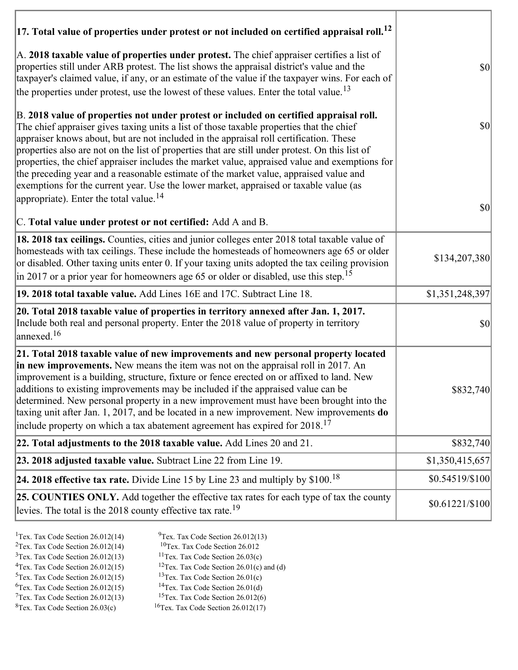| $ 17$ . Total value of properties under protest or not included on certified appraisal roll. <sup>12</sup>                                                                                                                                                                                                                                                                                                                                                                                                                                                                                                                                                                                                               |                                     |
|--------------------------------------------------------------------------------------------------------------------------------------------------------------------------------------------------------------------------------------------------------------------------------------------------------------------------------------------------------------------------------------------------------------------------------------------------------------------------------------------------------------------------------------------------------------------------------------------------------------------------------------------------------------------------------------------------------------------------|-------------------------------------|
| A. 2018 taxable value of properties under protest. The chief appraiser certifies a list of<br>properties still under ARB protest. The list shows the appraisal district's value and the<br>taxpayer's claimed value, if any, or an estimate of the value if the taxpayer wins. For each of<br>the properties under protest, use the lowest of these values. Enter the total value. <sup>13</sup>                                                                                                                                                                                                                                                                                                                         | $ 10\rangle$                        |
| B. 2018 value of properties not under protest or included on certified appraisal roll.<br>The chief appraiser gives taxing units a list of those taxable properties that the chief<br>appraiser knows about, but are not included in the appraisal roll certification. These<br>properties also are not on the list of properties that are still under protest. On this list of<br>properties, the chief appraiser includes the market value, appraised value and exemptions for<br>the preceding year and a reasonable estimate of the market value, appraised value and<br>exemptions for the current year. Use the lower market, appraised or taxable value (as<br>appropriate). Enter the total value. <sup>14</sup> | $ 10\rangle$                        |
| C. Total value under protest or not certified: Add A and B.                                                                                                                                                                                                                                                                                                                                                                                                                                                                                                                                                                                                                                                              | $\vert \mathbf{S} \mathbf{0} \vert$ |
| 18. 2018 tax ceilings. Counties, cities and junior colleges enter 2018 total taxable value of<br>homesteads with tax ceilings. These include the homesteads of homeowners age 65 or older<br>or disabled. Other taxing units enter 0. If your taxing units adopted the tax ceiling provision<br>$\vert$ in 2017 or a prior year for homeowners age 65 or older or disabled, use this step. <sup>15</sup>                                                                                                                                                                                                                                                                                                                 | \$134,207,380                       |
| 19. 2018 total taxable value. Add Lines 16E and 17C. Subtract Line 18.                                                                                                                                                                                                                                                                                                                                                                                                                                                                                                                                                                                                                                                   | \$1,351,248,397                     |
| 20. Total 2018 taxable value of properties in territory annexed after Jan. 1, 2017.<br>Include both real and personal property. Enter the 2018 value of property in territory<br>annexed. <sup>16</sup>                                                                                                                                                                                                                                                                                                                                                                                                                                                                                                                  | <b>\$0</b>                          |
| 21. Total 2018 taxable value of new improvements and new personal property located<br>in new improvements. New means the item was not on the appraisal roll in 2017. An<br>improvement is a building, structure, fixture or fence erected on or affixed to land. New<br>additions to existing improvements may be included if the appraised value can be<br>determined. New personal property in a new improvement must have been brought into the<br>taxing unit after Jan. 1, 2017, and be located in a new improvement. New improvements do<br>include property on which a tax abatement agreement has expired for $2018$ . <sup>17</sup>                                                                             | \$832,740                           |
| 22. Total adjustments to the 2018 taxable value. Add Lines 20 and 21.                                                                                                                                                                                                                                                                                                                                                                                                                                                                                                                                                                                                                                                    | \$832,740                           |
| 23. 2018 adjusted taxable value. Subtract Line 22 from Line 19.                                                                                                                                                                                                                                                                                                                                                                                                                                                                                                                                                                                                                                                          | \$1,350,415,657                     |
| 24. 2018 effective tax rate. Divide Line 15 by Line 23 and multiply by \$100. <sup>18</sup>                                                                                                                                                                                                                                                                                                                                                                                                                                                                                                                                                                                                                              | \$0.54519/\$100                     |
| 25. COUNTIES ONLY. Add together the effective tax rates for each type of tax the county<br>levies. The total is the 2018 county effective tax rate. <sup>19</sup>                                                                                                                                                                                                                                                                                                                                                                                                                                                                                                                                                        | $$0.61221/\$100$                    |

- 
- <sup>1</sup>Tex. Tax Code Section 26.012(14) <sup>9</sup>Tex. Tax Code Section 26.012(13) <sup>9</sup>Tex. Tax Code Section 26.012
- <sup>2</sup>Tex. Tax Code Section 26.012(14) <sup>10</sup>Tex. Tax Code Section 26.012<br><sup>3</sup>Tex. Tax Code Section 26.03(c) <sup>11</sup>Tex. Tax Code Section 26.03(c)
	-
- ${}^{3}$ Tex. Tax Code Section 26.012(13)<br> ${}^{4}$ Tex. Tax Code Section 26.012(15)
- <sup>12</sup>Tex. Tax Code Section 26.01(c) and (d) <sup>13</sup>Tex. Tax Code Section 26.01(c) <sup>5</sup>Tex. Tax Code Section 26.012(15) <sup>13</sup>Tex. Tax Code Section 26.01(c)<br><sup>6</sup>Tex. Tax Code Section 26.012(15) <sup>14</sup>Tex. Tax Code Section 26.01(d)
	-
- <sup>6</sup>Tex. Tax Code Section 26.012(15) <sup>14</sup>Tex. Tax Code Section 26.01(d)<br><sup>7</sup>Tex. Tax Code Section 26.012(13) <sup>15</sup>Tex. Tax Code Section 26.012(6)
- $7$ Tex. Tax Code Section 26.012(13)<br><sup>8</sup>Tex. Tax Code Section 26.03(c)
- $16$ Tex. Tax Code Section 26.012(17)
-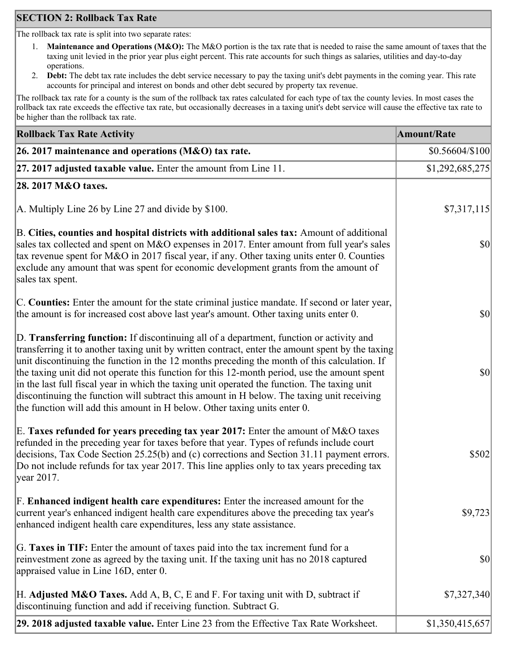# **SECTION 2: Rollback Tax Rate**

The rollback tax rate is split into two separate rates:

- 1. **Maintenance and Operations (M&O):** The M&O portion is the tax rate that is needed to raise the same amount of taxes that the taxing unit levied in the prior year plus eight percent. This rate accounts for such things as salaries, utilities and day-to-day operations.
- 2. **Debt:** The debt tax rate includes the debt service necessary to pay the taxing unit's debt payments in the coming year. This rate accounts for principal and interest on bonds and other debt secured by property tax revenue.

The rollback tax rate for a county is the sum of the rollback tax rates calculated for each type of tax the county levies. In most cases the rollback tax rate exceeds the effective tax rate, but occasionally decreases in a taxing unit's debt service will cause the effective tax rate to be higher than the rollback tax rate.

| <b>Rollback Tax Rate Activity</b>                                                                                                                                                                                                                                                                                                                                                                                                                                                                                                                                                                                                                                       | <b>Amount/Rate</b>                  |
|-------------------------------------------------------------------------------------------------------------------------------------------------------------------------------------------------------------------------------------------------------------------------------------------------------------------------------------------------------------------------------------------------------------------------------------------------------------------------------------------------------------------------------------------------------------------------------------------------------------------------------------------------------------------------|-------------------------------------|
| 26. 2017 maintenance and operations ( $M&O$ ) tax rate.                                                                                                                                                                                                                                                                                                                                                                                                                                                                                                                                                                                                                 | $$0.56604/\$100$                    |
| 27. 2017 adjusted taxable value. Enter the amount from Line 11.                                                                                                                                                                                                                                                                                                                                                                                                                                                                                                                                                                                                         | \$1,292,685,275                     |
| 28. 2017 M&O taxes.                                                                                                                                                                                                                                                                                                                                                                                                                                                                                                                                                                                                                                                     |                                     |
| A. Multiply Line 26 by Line 27 and divide by $$100$ .                                                                                                                                                                                                                                                                                                                                                                                                                                                                                                                                                                                                                   | \$7,317,115                         |
| B. Cities, counties and hospital districts with additional sales tax: Amount of additional<br>sales tax collected and spent on M&O expenses in 2017. Enter amount from full year's sales<br>tax revenue spent for M&O in 2017 fiscal year, if any. Other taxing units enter 0. Counties<br>exclude any amount that was spent for economic development grants from the amount of<br>sales tax spent.                                                                                                                                                                                                                                                                     | $ 10\rangle$                        |
| C. Counties: Enter the amount for the state criminal justice mandate. If second or later year,<br>the amount is for increased cost above last year's amount. Other taxing units enter 0.                                                                                                                                                                                                                                                                                                                                                                                                                                                                                | $ 10\rangle$                        |
| D. Transferring function: If discontinuing all of a department, function or activity and<br>transferring it to another taxing unit by written contract, enter the amount spent by the taxing<br>unit discontinuing the function in the 12 months preceding the month of this calculation. If<br>the taxing unit did not operate this function for this 12-month period, use the amount spent<br>in the last full fiscal year in which the taxing unit operated the function. The taxing unit<br>discontinuing the function will subtract this amount in H below. The taxing unit receiving<br>the function will add this amount in H below. Other taxing units enter 0. | $\vert \mathbf{S} \mathbf{0} \vert$ |
| E. Taxes refunded for years preceding tax year 2017: Enter the amount of M&O taxes<br>refunded in the preceding year for taxes before that year. Types of refunds include court<br>decisions, Tax Code Section 25.25(b) and (c) corrections and Section 31.11 payment errors.<br>Do not include refunds for tax year 2017. This line applies only to tax years preceding tax<br> year 2017.                                                                                                                                                                                                                                                                             | \$502                               |
| F. Enhanced indigent health care expenditures: Enter the increased amount for the<br>current year's enhanced indigent health care expenditures above the preceding tax year's<br>enhanced indigent health care expenditures, less any state assistance.                                                                                                                                                                                                                                                                                                                                                                                                                 | \$9,723                             |
| G. Taxes in TIF: Enter the amount of taxes paid into the tax increment fund for a<br>reinvestment zone as agreed by the taxing unit. If the taxing unit has no 2018 captured<br>appraised value in Line 16D, enter 0.                                                                                                                                                                                                                                                                                                                                                                                                                                                   | $ 10\rangle$                        |
| H. Adjusted M&O Taxes. Add A, B, C, E and F. For taxing unit with D, subtract if<br>discontinuing function and add if receiving function. Subtract G.                                                                                                                                                                                                                                                                                                                                                                                                                                                                                                                   | \$7,327,340                         |
| 29. 2018 adjusted taxable value. Enter Line 23 from the Effective Tax Rate Worksheet.                                                                                                                                                                                                                                                                                                                                                                                                                                                                                                                                                                                   | \$1,350,415,657                     |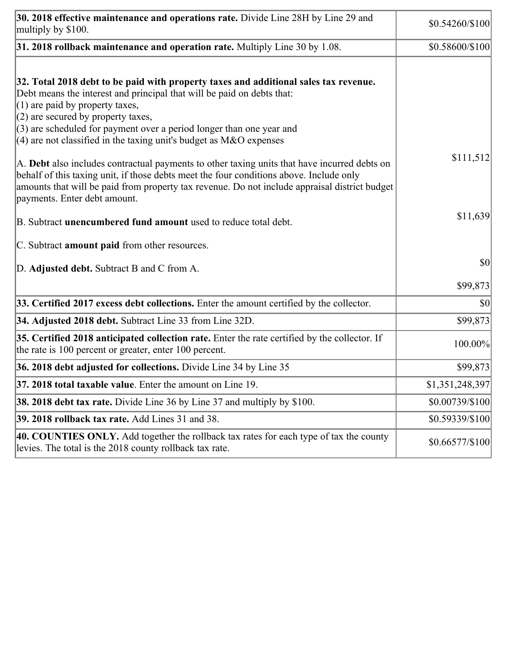| 30. 2018 effective maintenance and operations rate. Divide Line 28H by Line 29 and<br>multiply by \$100.                                                                                                                                                                                                                                                                                      | $$0.54260/\$100$ |
|-----------------------------------------------------------------------------------------------------------------------------------------------------------------------------------------------------------------------------------------------------------------------------------------------------------------------------------------------------------------------------------------------|------------------|
| $31.2018$ rollback maintenance and operation rate. Multiply Line 30 by 1.08.                                                                                                                                                                                                                                                                                                                  | \$0.58600/\$100  |
| 32. Total 2018 debt to be paid with property taxes and additional sales tax revenue.<br>Debt means the interest and principal that will be paid on debts that:<br>$(1)$ are paid by property taxes,<br>$(2)$ are secured by property taxes,<br>$(3)$ are scheduled for payment over a period longer than one year and<br>$(4)$ are not classified in the taxing unit's budget as M&O expenses |                  |
| A. Debt also includes contractual payments to other taxing units that have incurred debts on<br>behalf of this taxing unit, if those debts meet the four conditions above. Include only<br>amounts that will be paid from property tax revenue. Do not include appraisal district budget<br>payments. Enter debt amount.                                                                      | \$111,512        |
| B. Subtract unencumbered fund amount used to reduce total debt.                                                                                                                                                                                                                                                                                                                               | \$11,639         |
| C. Subtract <b>amount paid</b> from other resources.                                                                                                                                                                                                                                                                                                                                          |                  |
| D. Adjusted debt. Subtract B and C from A.                                                                                                                                                                                                                                                                                                                                                    | \$0              |
|                                                                                                                                                                                                                                                                                                                                                                                               | \$99,873         |
| 33. Certified 2017 excess debt collections. Enter the amount certified by the collector.                                                                                                                                                                                                                                                                                                      | \$0              |
| 34. Adjusted 2018 debt. Subtract Line 33 from Line 32D.                                                                                                                                                                                                                                                                                                                                       | \$99,873         |
| 35. Certified 2018 anticipated collection rate. Enter the rate certified by the collector. If<br>the rate is 100 percent or greater, enter 100 percent.                                                                                                                                                                                                                                       | 100.00%          |
| 36. 2018 debt adjusted for collections. Divide Line 34 by Line 35                                                                                                                                                                                                                                                                                                                             | \$99,873         |
| 37. 2018 total taxable value. Enter the amount on Line 19.                                                                                                                                                                                                                                                                                                                                    | \$1,351,248,397  |
| <b>38. 2018 debt tax rate.</b> Divide Line 36 by Line 37 and multiply by \$100.                                                                                                                                                                                                                                                                                                               | \$0.00739/\$100  |
| 39. 2018 rollback tax rate. Add Lines 31 and 38.                                                                                                                                                                                                                                                                                                                                              | \$0.59339/\$100  |
| 40. COUNTIES ONLY. Add together the rollback tax rates for each type of tax the county<br>levies. The total is the 2018 county rollback tax rate.                                                                                                                                                                                                                                             | \$0.66577/\$100  |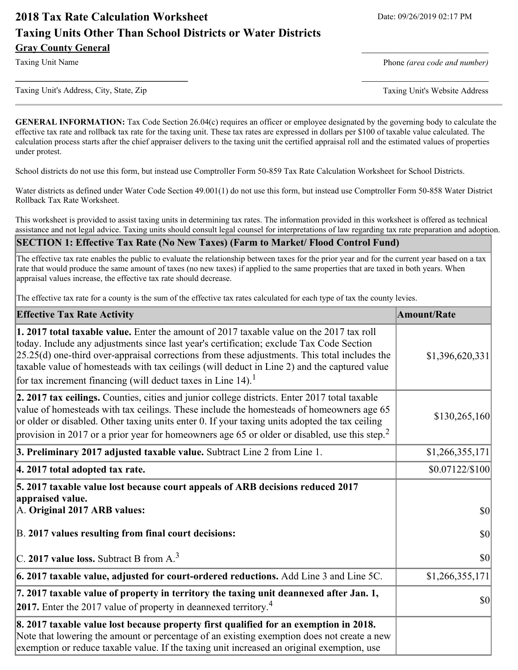# **2018 Tax Rate Calculation Worksheet** Date: 09/26/2019 02:17 PM **Taxing Units Other Than School Districts or Water Districts Gray County General** \_\_\_\_\_\_\_\_\_\_\_\_\_\_\_\_\_\_\_\_\_\_\_\_\_

Taxing Unit Name **Phone** *(area code and number)* Phone *(area code and number)* 

Taxing Unit's Address, City, State, Zip Taxing Unit's Website Address

**GENERAL INFORMATION:** Tax Code Section 26.04(c) requires an officer or employee designated by the governing body to calculate the effective tax rate and rollback tax rate for the taxing unit. These tax rates are expressed in dollars per \$100 of taxable value calculated. The calculation process starts after the chief appraiser delivers to the taxing unit the certified appraisal roll and the estimated values of properties under protest.

**\_\_\_\_\_\_\_\_\_\_\_\_\_\_\_\_\_\_\_\_\_\_\_\_\_\_\_\_\_\_\_\_\_\_** \_\_\_\_\_\_\_\_\_\_\_\_\_\_\_\_\_\_\_\_\_\_\_\_\_

School districts do not use this form, but instead use Comptroller Form 50-859 Tax Rate Calculation Worksheet for School Districts.

Water districts as defined under Water Code Section 49.001(1) do not use this form, but instead use Comptroller Form 50-858 Water District Rollback Tax Rate Worksheet.

This worksheet is provided to assist taxing units in determining tax rates. The information provided in this worksheet is offered as technical assistance and not legal advice. Taxing units should consult legal counsel for interpretations of law regarding tax rate preparation and adoption.

#### **SECTION 1: Effective Tax Rate (No New Taxes) (Farm to Market/ Flood Control Fund)**

The effective tax rate enables the public to evaluate the relationship between taxes for the prior year and for the current year based on a tax rate that would produce the same amount of taxes (no new taxes) if applied to the same properties that are taxed in both years. When appraisal values increase, the effective tax rate should decrease.

The effective tax rate for a county is the sum of the effective tax rates calculated for each type of tax the county levies.

| <b>Effective Tax Rate Activity</b>                                                                                                                                                                                                                                                                                                                                                                                                                                      | <b>Amount/Rate</b> |
|-------------------------------------------------------------------------------------------------------------------------------------------------------------------------------------------------------------------------------------------------------------------------------------------------------------------------------------------------------------------------------------------------------------------------------------------------------------------------|--------------------|
| 1. 2017 total taxable value. Enter the amount of 2017 taxable value on the 2017 tax roll<br>today. Include any adjustments since last year's certification; exclude Tax Code Section<br>$[25.25(d)$ one-third over-appraisal corrections from these adjustments. This total includes the<br>taxable value of homesteads with tax ceilings (will deduct in Line 2) and the captured value<br>for tax increment financing (will deduct taxes in Line $14$ ). <sup>1</sup> | \$1,396,620,331    |
| 2. 2017 tax ceilings. Counties, cities and junior college districts. Enter 2017 total taxable<br>value of homesteads with tax ceilings. These include the homesteads of homeowners age 65<br>or older or disabled. Other taxing units enter 0. If your taxing units adopted the tax ceiling<br>provision in 2017 or a prior year for homeowners age 65 or older or disabled, use this step. <sup>2</sup>                                                                | \$130,265,160      |
| 3. Preliminary 2017 adjusted taxable value. Subtract Line 2 from Line 1.                                                                                                                                                                                                                                                                                                                                                                                                | \$1,266,355,171    |
| 4. 2017 total adopted tax rate.                                                                                                                                                                                                                                                                                                                                                                                                                                         | \$0.07122/\$100]   |
| 5. 2017 taxable value lost because court appeals of ARB decisions reduced 2017<br>appraised value.<br>A. Original 2017 ARB values:                                                                                                                                                                                                                                                                                                                                      | $ 10\rangle$       |
| B. 2017 values resulting from final court decisions:                                                                                                                                                                                                                                                                                                                                                                                                                    | $ 10\rangle$       |
| C. 2017 value loss. Subtract B from A. <sup>3</sup>                                                                                                                                                                                                                                                                                                                                                                                                                     | $ 10\rangle$       |
| $\vert$ 6. 2017 taxable value, adjusted for court-ordered reductions. Add Line 3 and Line 5C.                                                                                                                                                                                                                                                                                                                                                                           | \$1,266,355,171    |
| 7. 2017 taxable value of property in territory the taxing unit deannexed after Jan. 1,<br><b>2017.</b> Enter the 2017 value of property in deannexed territory. <sup>4</sup>                                                                                                                                                                                                                                                                                            | $ 10\rangle$       |
| 8. 2017 taxable value lost because property first qualified for an exemption in 2018.<br>Note that lowering the amount or percentage of an existing exemption does not create a new<br>exemption or reduce taxable value. If the taxing unit increased an original exemption, use                                                                                                                                                                                       |                    |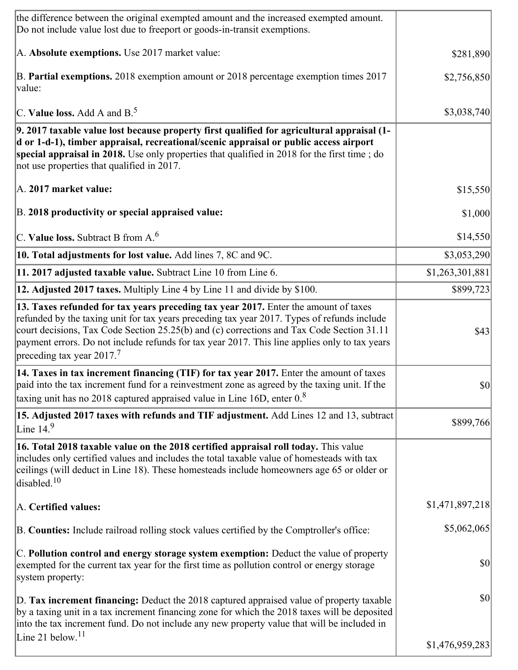| the difference between the original exempted amount and the increased exempted amount.<br>Do not include value lost due to freeport or goods-in-transit exemptions.                                                                                                                                                                                                                                                       |                 |
|---------------------------------------------------------------------------------------------------------------------------------------------------------------------------------------------------------------------------------------------------------------------------------------------------------------------------------------------------------------------------------------------------------------------------|-----------------|
| A. Absolute exemptions. Use 2017 market value:                                                                                                                                                                                                                                                                                                                                                                            | \$281,890       |
| B. Partial exemptions. 2018 exemption amount or 2018 percentage exemption times 2017<br>value:                                                                                                                                                                                                                                                                                                                            | \$2,756,850     |
| C. Value loss. Add A and $B^5$                                                                                                                                                                                                                                                                                                                                                                                            | \$3,038,740     |
| 9. 2017 taxable value lost because property first qualified for agricultural appraisal (1-<br>d or 1-d-1), timber appraisal, recreational/scenic appraisal or public access airport<br>special appraisal in 2018. Use only properties that qualified in 2018 for the first time; do<br>not use properties that qualified in 2017.                                                                                         |                 |
| A. 2017 market value:                                                                                                                                                                                                                                                                                                                                                                                                     | \$15,550        |
| B. 2018 productivity or special appraised value:                                                                                                                                                                                                                                                                                                                                                                          | \$1,000         |
| C. Value loss. Subtract B from $A6$                                                                                                                                                                                                                                                                                                                                                                                       | \$14,550        |
| 10. Total adjustments for lost value. Add lines 7, 8C and 9C.                                                                                                                                                                                                                                                                                                                                                             | \$3,053,290     |
| 11. 2017 adjusted taxable value. Subtract Line 10 from Line 6.                                                                                                                                                                                                                                                                                                                                                            | \$1,263,301,881 |
| 12. Adjusted 2017 taxes. Multiply Line 4 by Line 11 and divide by \$100.                                                                                                                                                                                                                                                                                                                                                  | \$899,723       |
| 13. Taxes refunded for tax years preceding tax year 2017. Enter the amount of taxes<br>refunded by the taxing unit for tax years preceding tax year 2017. Types of refunds include<br>court decisions, Tax Code Section 25.25(b) and (c) corrections and Tax Code Section 31.11<br>payment errors. Do not include refunds for tax year 2017. This line applies only to tax years<br>preceding tax year 2017. <sup>7</sup> | \$43            |
| 14. Taxes in tax increment financing (TIF) for tax year 2017. Enter the amount of taxes<br>paid into the tax increment fund for a reinvestment zone as agreed by the taxing unit. If the<br>taxing unit has no 2018 captured appraised value in Line 16D, enter $0.8$                                                                                                                                                     | $ 10\rangle$    |
| 15. Adjusted 2017 taxes with refunds and TIF adjustment. Add Lines 12 and 13, subtract<br>Line $14.9$                                                                                                                                                                                                                                                                                                                     | \$899,766       |
| 16. Total 2018 taxable value on the 2018 certified appraisal roll today. This value<br>includes only certified values and includes the total taxable value of homesteads with tax<br>ceilings (will deduct in Line 18). These homesteads include homeowners age 65 or older or<br>disabled. $10$                                                                                                                          |                 |
| A. Certified values:                                                                                                                                                                                                                                                                                                                                                                                                      | \$1,471,897,218 |
| B. Counties: Include railroad rolling stock values certified by the Comptroller's office:                                                                                                                                                                                                                                                                                                                                 | \$5,062,065     |
| C. Pollution control and energy storage system exemption: Deduct the value of property<br>exempted for the current tax year for the first time as pollution control or energy storage<br>system property:                                                                                                                                                                                                                 | \$0             |
| D. Tax increment financing: Deduct the 2018 captured appraised value of property taxable<br>by a taxing unit in a tax increment financing zone for which the 2018 taxes will be deposited<br>into the tax increment fund. Do not include any new property value that will be included in                                                                                                                                  | $ 10\rangle$    |
| Line 21 below. <sup>11</sup>                                                                                                                                                                                                                                                                                                                                                                                              | \$1,476,959,283 |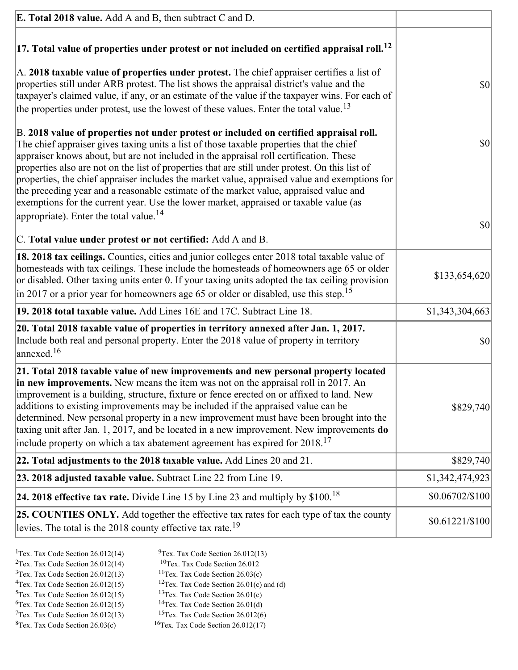| <b>E. Total 2018 value.</b> Add A and B, then subtract C and D.                                                                                                                                                                                                                                                                                                                                                                                                                                                                                                                                                                                                                                                          |                       |
|--------------------------------------------------------------------------------------------------------------------------------------------------------------------------------------------------------------------------------------------------------------------------------------------------------------------------------------------------------------------------------------------------------------------------------------------------------------------------------------------------------------------------------------------------------------------------------------------------------------------------------------------------------------------------------------------------------------------------|-----------------------|
| $ 17$ . Total value of properties under protest or not included on certified appraisal roll. <sup>12</sup>                                                                                                                                                                                                                                                                                                                                                                                                                                                                                                                                                                                                               |                       |
| A. 2018 taxable value of properties under protest. The chief appraiser certifies a list of<br>properties still under ARB protest. The list shows the appraisal district's value and the<br>taxpayer's claimed value, if any, or an estimate of the value if the taxpayer wins. For each of<br>the properties under protest, use the lowest of these values. Enter the total value. <sup>13</sup>                                                                                                                                                                                                                                                                                                                         | \$0                   |
| B. 2018 value of properties not under protest or included on certified appraisal roll.<br>The chief appraiser gives taxing units a list of those taxable properties that the chief<br>appraiser knows about, but are not included in the appraisal roll certification. These<br>properties also are not on the list of properties that are still under protest. On this list of<br>properties, the chief appraiser includes the market value, appraised value and exemptions for<br>the preceding year and a reasonable estimate of the market value, appraised value and<br>exemptions for the current year. Use the lower market, appraised or taxable value (as<br>appropriate). Enter the total value. <sup>14</sup> | \$0                   |
|                                                                                                                                                                                                                                                                                                                                                                                                                                                                                                                                                                                                                                                                                                                          | \$0                   |
| C. Total value under protest or not certified: Add A and B.                                                                                                                                                                                                                                                                                                                                                                                                                                                                                                                                                                                                                                                              |                       |
| 18. 2018 tax ceilings. Counties, cities and junior colleges enter 2018 total taxable value of<br>homesteads with tax ceilings. These include the homesteads of homeowners age 65 or older<br>or disabled. Other taxing units enter 0. If your taxing units adopted the tax ceiling provision<br>$\vert$ in 2017 or a prior year for homeowners age 65 or older or disabled, use this step. <sup>15</sup>                                                                                                                                                                                                                                                                                                                 | \$133,654,620         |
| 19. 2018 total taxable value. Add Lines 16E and 17C. Subtract Line 18.                                                                                                                                                                                                                                                                                                                                                                                                                                                                                                                                                                                                                                                   | \$1,343,304,663       |
| 20. Total 2018 taxable value of properties in territory annexed after Jan. 1, 2017.<br>Include both real and personal property. Enter the 2018 value of property in territory<br>$\lambda$ annexed. $^{16}$                                                                                                                                                                                                                                                                                                                                                                                                                                                                                                              | \$0                   |
| 21. Total 2018 taxable value of new improvements and new personal property located<br>in new improvements. New means the item was not on the appraisal roll in 2017. An<br>improvement is a building, structure, fixture or fence erected on or affixed to land. New<br>additions to existing improvements may be included if the appraised value can be<br>determined. New personal property in a new improvement must have been brought into the<br>taxing unit after Jan. 1, 2017, and be located in a new improvement. New improvements do<br>include property on which a tax abatement agreement has expired for $2018$ . <sup>17</sup>                                                                             | \$829,740             |
| 22. Total adjustments to the 2018 taxable value. Add Lines 20 and 21.                                                                                                                                                                                                                                                                                                                                                                                                                                                                                                                                                                                                                                                    | \$829,740             |
| 23. 2018 adjusted taxable value. Subtract Line 22 from Line 19.                                                                                                                                                                                                                                                                                                                                                                                                                                                                                                                                                                                                                                                          | \$1,342,474,923       |
| 24. 2018 effective tax rate. Divide Line 15 by Line 23 and multiply by $$100$ . <sup>18</sup>                                                                                                                                                                                                                                                                                                                                                                                                                                                                                                                                                                                                                            | \$0.06702/\$100       |
| 25. COUNTIES ONLY. Add together the effective tax rates for each type of tax the county<br>levies. The total is the 2018 county effective tax rate. <sup>19</sup>                                                                                                                                                                                                                                                                                                                                                                                                                                                                                                                                                        | $$0.61221 \times 100$ |

- <sup>1</sup>Tex. Tax Code Section 26.012(14) <sup>9</sup>Tex. Tax Code Section 26.012(13) <sup>9</sup>Tex. Tax Code Section 26.012 <sup>2</sup>Tex. Tax Code Section 26.012(14)<br><sup>3</sup>Tex. Tax Code Section 26.012(13)
	-
	-
- <sup>3</sup>Tex. Tax Code Section 26.012(13) <sup>11</sup>Tex. Tax Code Section 26.03(c) <sup>4</sup>Tex. Tax Code Section 26.01(c)
	-
- 
- <sup>6</sup>Tex. Tax Code Section 26.012(15)<br><sup>7</sup>Tex. Tax Code Section 26.012(13)
- 
- 
- <sup>4</sup>Tex. Tax Code Section 26.012(15) <sup>12</sup>Tex. Tax Code Section 26.01(c) and (d)<br><sup>5</sup>Tex. Tax Code Section 26.012(15) <sup>13</sup>Tex. Tax Code Section 26.01(c)
	- <sup>13</sup>Tex. Tax Code Section 26.01(c) <sup>14</sup>Tex. Tax Code Section 26.01(d)
	-
- <sup>7</sup>Tex. Tax Code Section 26.012(13) <sup>15</sup>Tex. Tax Code Section 26.012(6)<br><sup>8</sup>Tex. Tax Code Section 26.03(c) <sup>16</sup>Tex. Tax Code Section 26.012(17)
	- $16$ Tex. Tax Code Section 26.012(17)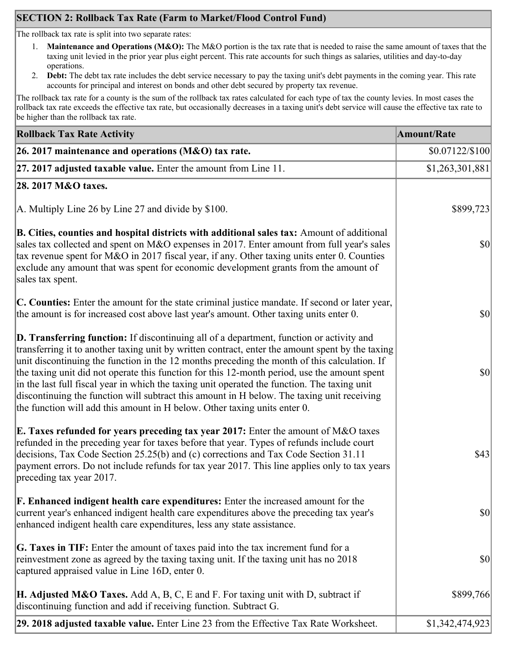# **SECTION 2: Rollback Tax Rate (Farm to Market/Flood Control Fund)**

The rollback tax rate is split into two separate rates:

- 1. **Maintenance and Operations (M&O):** The M&O portion is the tax rate that is needed to raise the same amount of taxes that the taxing unit levied in the prior year plus eight percent. This rate accounts for such things as salaries, utilities and day-to-day operations.
- 2. **Debt:** The debt tax rate includes the debt service necessary to pay the taxing unit's debt payments in the coming year. This rate accounts for principal and interest on bonds and other debt secured by property tax revenue.

The rollback tax rate for a county is the sum of the rollback tax rates calculated for each type of tax the county levies. In most cases the rollback tax rate exceeds the effective tax rate, but occasionally decreases in a taxing unit's debt service will cause the effective tax rate to be higher than the rollback tax rate.

| <b>Rollback Tax Rate Activity</b>                                                                                                                                                                                                                                                                                                                                                                                                                                                                                                                                                                                                                                              | <b>Amount/Rate</b> |
|--------------------------------------------------------------------------------------------------------------------------------------------------------------------------------------------------------------------------------------------------------------------------------------------------------------------------------------------------------------------------------------------------------------------------------------------------------------------------------------------------------------------------------------------------------------------------------------------------------------------------------------------------------------------------------|--------------------|
| 26. 2017 maintenance and operations (M&O) tax rate.                                                                                                                                                                                                                                                                                                                                                                                                                                                                                                                                                                                                                            | $$0.07122/\$100$   |
| $ 27.2017$ adjusted taxable value. Enter the amount from Line 11.                                                                                                                                                                                                                                                                                                                                                                                                                                                                                                                                                                                                              | \$1,263,301,881    |
| 28. 2017 M&O taxes.                                                                                                                                                                                                                                                                                                                                                                                                                                                                                                                                                                                                                                                            |                    |
| A. Multiply Line 26 by Line 27 and divide by \$100.                                                                                                                                                                                                                                                                                                                                                                                                                                                                                                                                                                                                                            | \$899,723          |
| B. Cities, counties and hospital districts with additional sales tax: Amount of additional<br>sales tax collected and spent on M&O expenses in 2017. Enter amount from full year's sales<br>tax revenue spent for M&O in 2017 fiscal year, if any. Other taxing units enter 0. Counties<br>exclude any amount that was spent for economic development grants from the amount of<br>sales tax spent.                                                                                                                                                                                                                                                                            | $ 10\rangle$       |
| C. Counties: Enter the amount for the state criminal justice mandate. If second or later year,<br>the amount is for increased cost above last year's amount. Other taxing units enter 0.                                                                                                                                                                                                                                                                                                                                                                                                                                                                                       | $ 10\rangle$       |
| <b>D. Transferring function:</b> If discontinuing all of a department, function or activity and<br>transferring it to another taxing unit by written contract, enter the amount spent by the taxing<br>unit discontinuing the function in the 12 months preceding the month of this calculation. If<br>the taxing unit did not operate this function for this 12-month period, use the amount spent<br>in the last full fiscal year in which the taxing unit operated the function. The taxing unit<br>discontinuing the function will subtract this amount in H below. The taxing unit receiving<br>the function will add this amount in H below. Other taxing units enter 0. | $ 10\rangle$       |
| E. Taxes refunded for years preceding tax year 2017: Enter the amount of M&O taxes<br>refunded in the preceding year for taxes before that year. Types of refunds include court<br>decisions, Tax Code Section 25.25(b) and (c) corrections and Tax Code Section 31.11<br>payment errors. Do not include refunds for tax year 2017. This line applies only to tax years<br>preceding tax year 2017.                                                                                                                                                                                                                                                                            | \$43               |
| <b>F. Enhanced indigent health care expenditures:</b> Enter the increased amount for the<br>current year's enhanced indigent health care expenditures above the preceding tax year's<br>enhanced indigent health care expenditures, less any state assistance.                                                                                                                                                                                                                                                                                                                                                                                                                 | $ 10\rangle$       |
| G. Taxes in TIF: Enter the amount of taxes paid into the tax increment fund for a<br>reinvestment zone as agreed by the taxing taxing unit. If the taxing unit has no 2018<br>captured appraised value in Line 16D, enter 0.                                                                                                                                                                                                                                                                                                                                                                                                                                                   | $ 10\rangle$       |
| <b>H. Adjusted M&amp;O Taxes.</b> Add A, B, C, E and F. For taxing unit with D, subtract if<br>discontinuing function and add if receiving function. Subtract G.                                                                                                                                                                                                                                                                                                                                                                                                                                                                                                               | \$899,766          |
| 29. 2018 adjusted taxable value. Enter Line 23 from the Effective Tax Rate Worksheet.                                                                                                                                                                                                                                                                                                                                                                                                                                                                                                                                                                                          | \$1,342,474,923    |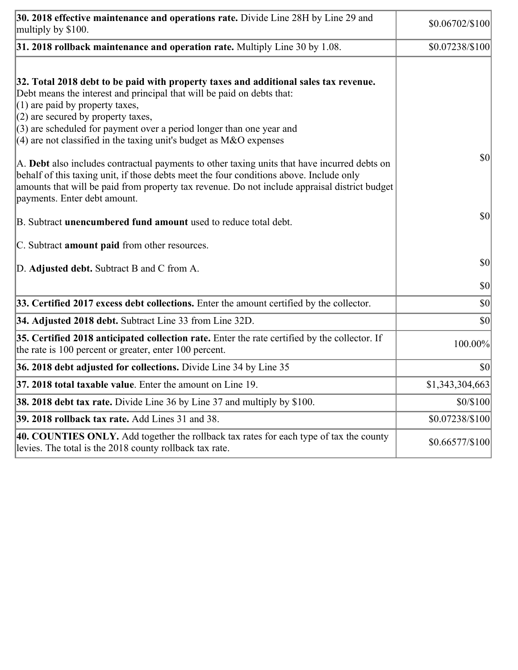| 30. 2018 effective maintenance and operations rate. Divide Line 28H by Line 29 and<br>multiply by \$100.                                                                                                                                                                                                                                                                                      | \$0.06702/\$100 |
|-----------------------------------------------------------------------------------------------------------------------------------------------------------------------------------------------------------------------------------------------------------------------------------------------------------------------------------------------------------------------------------------------|-----------------|
| $31.2018$ rollback maintenance and operation rate. Multiply Line 30 by 1.08.                                                                                                                                                                                                                                                                                                                  | \$0.07238/\$100 |
| 32. Total 2018 debt to be paid with property taxes and additional sales tax revenue.<br>Debt means the interest and principal that will be paid on debts that:<br>$(1)$ are paid by property taxes,<br>$(2)$ are secured by property taxes,<br>$(3)$ are scheduled for payment over a period longer than one year and<br>$(4)$ are not classified in the taxing unit's budget as M&O expenses |                 |
| A. Debt also includes contractual payments to other taxing units that have incurred debts on<br>behalf of this taxing unit, if those debts meet the four conditions above. Include only<br>amounts that will be paid from property tax revenue. Do not include appraisal district budget<br>payments. Enter debt amount.                                                                      | \$0             |
| B. Subtract unencumbered fund amount used to reduce total debt.                                                                                                                                                                                                                                                                                                                               | \$0             |
| C. Subtract <b>amount paid</b> from other resources.                                                                                                                                                                                                                                                                                                                                          |                 |
| D. Adjusted debt. Subtract B and C from A.                                                                                                                                                                                                                                                                                                                                                    | \$0             |
|                                                                                                                                                                                                                                                                                                                                                                                               | \$0             |
| 33. Certified 2017 excess debt collections. Enter the amount certified by the collector.                                                                                                                                                                                                                                                                                                      | \$0             |
| 34. Adjusted 2018 debt. Subtract Line 33 from Line 32D.                                                                                                                                                                                                                                                                                                                                       | \$0             |
| 35. Certified 2018 anticipated collection rate. Enter the rate certified by the collector. If<br>the rate is 100 percent or greater, enter 100 percent.                                                                                                                                                                                                                                       | 100.00%         |
| 36. 2018 debt adjusted for collections. Divide Line 34 by Line 35                                                                                                                                                                                                                                                                                                                             | \$0             |
| <b>37. 2018 total taxable value.</b> Enter the amount on Line 19.                                                                                                                                                                                                                                                                                                                             | \$1,343,304,663 |
| <b>38. 2018 debt tax rate.</b> Divide Line 36 by Line 37 and multiply by \$100.                                                                                                                                                                                                                                                                                                               | \$0/\$100       |
| 39. 2018 rollback tax rate. Add Lines 31 and 38.                                                                                                                                                                                                                                                                                                                                              | \$0.07238/\$100 |
| 40. COUNTIES ONLY. Add together the rollback tax rates for each type of tax the county<br>levies. The total is the 2018 county rollback tax rate.                                                                                                                                                                                                                                             | \$0.66577/\$100 |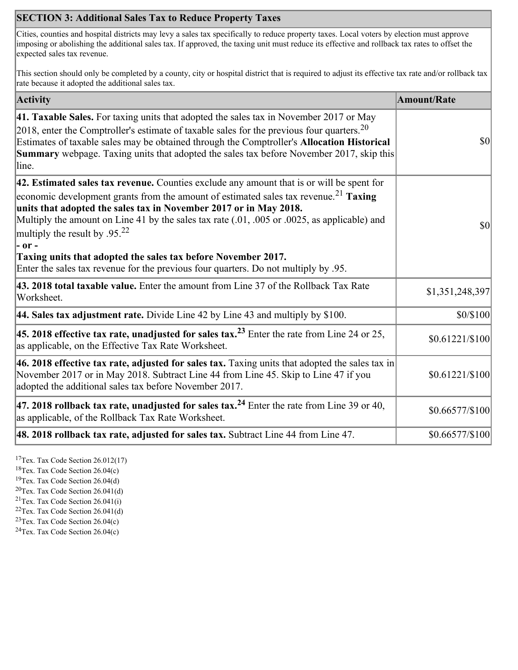# **SECTION 3: Additional Sales Tax to Reduce Property Taxes**

Cities, counties and hospital districts may levy a sales tax specifically to reduce property taxes. Local voters by election must approve imposing or abolishing the additional sales tax. If approved, the taxing unit must reduce its effective and rollback tax rates to offset the expected sales tax revenue.

This section should only be completed by a county, city or hospital district that is required to adjust its effective tax rate and/or rollback tax rate because it adopted the additional sales tax.

| <b>Activity</b>                                                                                                                                                                                                                                                                                                                                                                                                                                                                                                                                                             | <b>Amount/Rate</b>                  |
|-----------------------------------------------------------------------------------------------------------------------------------------------------------------------------------------------------------------------------------------------------------------------------------------------------------------------------------------------------------------------------------------------------------------------------------------------------------------------------------------------------------------------------------------------------------------------------|-------------------------------------|
| 41. Taxable Sales. For taxing units that adopted the sales tax in November 2017 or May<br>[2018, enter the Comptroller's estimate of taxable sales for the previous four quarters. <sup>20</sup><br>Estimates of taxable sales may be obtained through the Comptroller's Allocation Historical<br><b>Summary</b> webpage. Taxing units that adopted the sales tax before November 2017, skip this<br>line.                                                                                                                                                                  | $ 10\rangle$                        |
| $ 42$ . Estimated sales tax revenue. Counties exclude any amount that is or will be spent for<br>economic development grants from the amount of estimated sales tax revenue. <sup>21</sup> Taxing<br>units that adopted the sales tax in November 2017 or in May 2018.<br>Multiply the amount on Line 41 by the sales tax rate (.01, .005 or .0025, as applicable) and<br>multiply the result by $.9522$<br> - or -<br>Taxing units that adopted the sales tax before November 2017.<br>Enter the sales tax revenue for the previous four quarters. Do not multiply by .95. | $\vert \mathbf{S} \mathbf{O} \vert$ |
| 43. 2018 total taxable value. Enter the amount from Line 37 of the Rollback Tax Rate<br>Worksheet.                                                                                                                                                                                                                                                                                                                                                                                                                                                                          | \$1,351,248,397                     |
| 44. Sales tax adjustment rate. Divide Line 42 by Line 43 and multiply by \$100.                                                                                                                                                                                                                                                                                                                                                                                                                                                                                             | \$0/\$100                           |
| 45. 2018 effective tax rate, unadjusted for sales tax. <sup>23</sup> Enter the rate from Line 24 or 25,<br>as applicable, on the Effective Tax Rate Worksheet.                                                                                                                                                                                                                                                                                                                                                                                                              | $$0.61221/\$100$                    |
| 46. 2018 effective tax rate, adjusted for sales tax. Taxing units that adopted the sales tax in<br>November 2017 or in May 2018. Subtract Line 44 from Line 45. Skip to Line 47 if you<br>adopted the additional sales tax before November 2017.                                                                                                                                                                                                                                                                                                                            | $$0.61221/\$100$                    |
| 47. 2018 rollback tax rate, unadjusted for sales tax. <sup>24</sup> Enter the rate from Line 39 or 40,<br>as applicable, of the Rollback Tax Rate Worksheet.                                                                                                                                                                                                                                                                                                                                                                                                                | $$0.66577/\$100$                    |
| 48. 2018 rollback tax rate, adjusted for sales tax. Subtract Line 44 from Line 47.                                                                                                                                                                                                                                                                                                                                                                                                                                                                                          | $$0.66577\allowbreak/\$100]$        |

<sup>17</sup>Tex. Tax Code Section 26.012(17)

<sup>18</sup>Tex. Tax Code Section 26.04(c)

<sup>19</sup>Tex. Tax Code Section 26.04(d)

 $20$ Tex. Tax Code Section 26.041(d)

<sup>21</sup>Tex. Tax Code Section  $26.041(i)$ 

 $22$ Tex. Tax Code Section 26.041(d)

 $23$ Tex. Tax Code Section 26.04(c)  $24$ Tex. Tax Code Section 26.04(c)